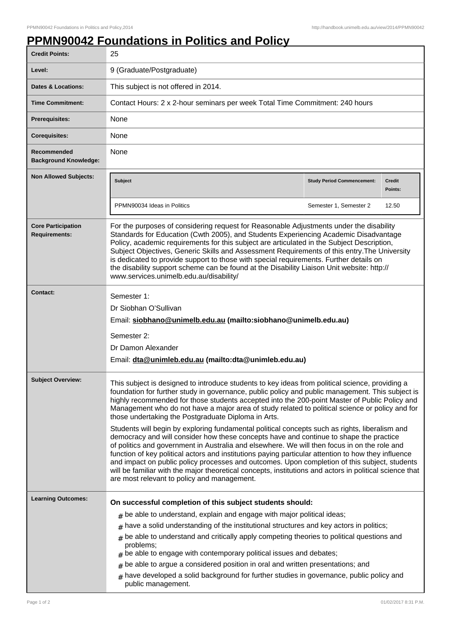## **PPMN90042 Foundations in Politics and Policy**

| <b>Credit Points:</b>                             | 25                                                                                                                                                                                                                                                                                                                                                                                                                                                                                                                                                                                                                                                                                                                                                                                                                                                                                                                                                                                                                                                                                                                           |                                   |                          |
|---------------------------------------------------|------------------------------------------------------------------------------------------------------------------------------------------------------------------------------------------------------------------------------------------------------------------------------------------------------------------------------------------------------------------------------------------------------------------------------------------------------------------------------------------------------------------------------------------------------------------------------------------------------------------------------------------------------------------------------------------------------------------------------------------------------------------------------------------------------------------------------------------------------------------------------------------------------------------------------------------------------------------------------------------------------------------------------------------------------------------------------------------------------------------------------|-----------------------------------|--------------------------|
| Level:                                            | 9 (Graduate/Postgraduate)                                                                                                                                                                                                                                                                                                                                                                                                                                                                                                                                                                                                                                                                                                                                                                                                                                                                                                                                                                                                                                                                                                    |                                   |                          |
| Dates & Locations:                                | This subject is not offered in 2014.                                                                                                                                                                                                                                                                                                                                                                                                                                                                                                                                                                                                                                                                                                                                                                                                                                                                                                                                                                                                                                                                                         |                                   |                          |
| <b>Time Commitment:</b>                           | Contact Hours: 2 x 2-hour seminars per week Total Time Commitment: 240 hours                                                                                                                                                                                                                                                                                                                                                                                                                                                                                                                                                                                                                                                                                                                                                                                                                                                                                                                                                                                                                                                 |                                   |                          |
| <b>Prerequisites:</b>                             | None                                                                                                                                                                                                                                                                                                                                                                                                                                                                                                                                                                                                                                                                                                                                                                                                                                                                                                                                                                                                                                                                                                                         |                                   |                          |
| <b>Corequisites:</b>                              | None                                                                                                                                                                                                                                                                                                                                                                                                                                                                                                                                                                                                                                                                                                                                                                                                                                                                                                                                                                                                                                                                                                                         |                                   |                          |
| Recommended<br><b>Background Knowledge:</b>       | None                                                                                                                                                                                                                                                                                                                                                                                                                                                                                                                                                                                                                                                                                                                                                                                                                                                                                                                                                                                                                                                                                                                         |                                   |                          |
| <b>Non Allowed Subjects:</b>                      | <b>Subject</b>                                                                                                                                                                                                                                                                                                                                                                                                                                                                                                                                                                                                                                                                                                                                                                                                                                                                                                                                                                                                                                                                                                               | <b>Study Period Commencement:</b> | <b>Credit</b><br>Points: |
|                                                   | PPMN90034 Ideas in Politics                                                                                                                                                                                                                                                                                                                                                                                                                                                                                                                                                                                                                                                                                                                                                                                                                                                                                                                                                                                                                                                                                                  | Semester 1, Semester 2            | 12.50                    |
| <b>Core Participation</b><br><b>Requirements:</b> | For the purposes of considering request for Reasonable Adjustments under the disability<br>Standards for Education (Cwth 2005), and Students Experiencing Academic Disadvantage<br>Policy, academic requirements for this subject are articulated in the Subject Description,<br>Subject Objectives, Generic Skills and Assessment Requirements of this entry. The University<br>is dedicated to provide support to those with special requirements. Further details on<br>the disability support scheme can be found at the Disability Liaison Unit website: http://<br>www.services.unimelb.edu.au/disability/                                                                                                                                                                                                                                                                                                                                                                                                                                                                                                             |                                   |                          |
| Contact:                                          | Semester 1:<br>Dr Siobhan O'Sullivan<br>Email: siobhano@unimelb.edu.au (mailto:siobhano@unimelb.edu.au)<br>Semester 2:<br>Dr Damon Alexander<br>Email: dta@unimleb.edu.au (mailto:dta@unimleb.edu.au)                                                                                                                                                                                                                                                                                                                                                                                                                                                                                                                                                                                                                                                                                                                                                                                                                                                                                                                        |                                   |                          |
| <b>Subject Overview:</b>                          | This subject is designed to introduce students to key ideas from political science, providing a<br>foundation for further study in governance, public policy and public management. This subject is<br>highly recommended for those students accepted into the 200-point Master of Public Policy and<br>Management who do not have a major area of study related to political science or policy and for<br>those undertaking the Postgraduate Diploma in Arts.<br>Students will begin by exploring fundamental political concepts such as rights, liberalism and<br>democracy and will consider how these concepts have and continue to shape the practice<br>of politics and government in Australia and elsewhere. We will then focus in on the role and<br>function of key political actors and institutions paying particular attention to how they influence<br>and impact on public policy processes and outcomes. Upon completion of this subject, students<br>will be familiar with the major theoretical concepts, institutions and actors in political science that<br>are most relevant to policy and management. |                                   |                          |
| <b>Learning Outcomes:</b>                         | On successful completion of this subject students should:<br>$#$ be able to understand, explain and engage with major political ideas;<br>have a solid understanding of the institutional structures and key actors in politics;<br>#<br>be able to understand and critically apply competing theories to political questions and<br>#<br>problems;<br>be able to engage with contemporary political issues and debates;<br>be able to argue a considered position in oral and written presentations; and<br>#<br>have developed a solid background for further studies in governance, public policy and<br>#<br>public management.                                                                                                                                                                                                                                                                                                                                                                                                                                                                                          |                                   |                          |